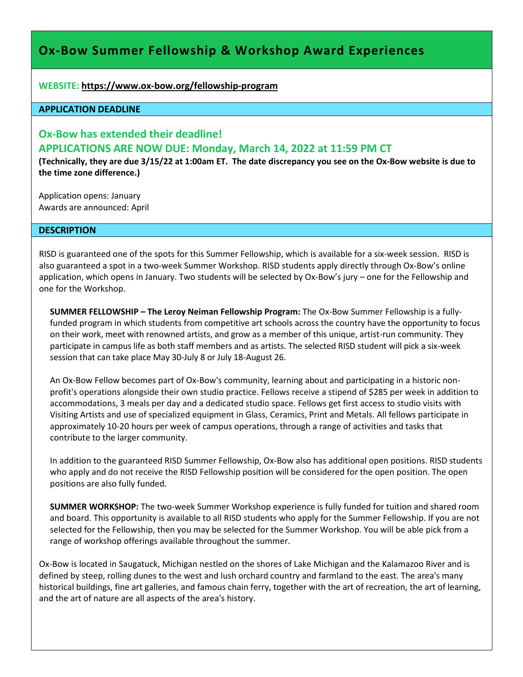# **Ox-Bow Summer Fellowship & Workshop Award Experiences**

**WEBSITE: <https://www.ox-bow.org/fellowship-program>**

## **APPLICATION DEADLINE**

## **Ox-Bow has extended their deadline! APPLICATIONS ARE NOW DUE: Monday, March 14, 2022 at 11:59 PM CT**

**(Technically, they are due 3/15/22 at 1:00am ET. The date discrepancy you see on the Ox-Bow website is due to the time zone difference.)**

Application opens: January Awards are announced: April

#### **DESCRIPTION**

RISD is guaranteed one of the spots for this Summer Fellowship, which is available for a six-week session. RISD is also guaranteed a spot in a two-week Summer Workshop. RISD students apply directly through Ox-Bow's online application, which opens in January. Two students will be selected by Ox-Bow's jury – one for the Fellowship and one for the Workshop.

**SUMMER FELLOWSHIP – The Leroy Neiman Fellowship Program:** The Ox-Bow Summer Fellowship is a fullyfunded program in which students from competitive art schools across the country have the opportunity to focus on their work, meet with renowned artists, and grow as a member of this unique, artist-run community. They participate in campus life as both staff members and as artists. The selected RISD student will pick a six-week session that can take place May 30-July 8 or July 18-August 26.

An Ox-Bow Fellow becomes part of Ox-Bow's community, learning about and participating in a historic nonprofit's operations alongside their own studio practice. Fellows receive a stipend of \$285 per week in addition to accommodations, 3 meals per day and a dedicated studio space. Fellows get first access to studio visits with Visiting Artists and use of specialized equipment in Glass, Ceramics, Print and Metals. All fellows participate in approximately 10-20 hours per week of campus operations, through a range of activities and tasks that contribute to the larger community.

In addition to the guaranteed RISD Summer Fellowship, Ox-Bow also has additional open positions. RISD students who apply and do not receive the RISD Fellowship position will be considered for the open position. The open positions are also fully funded.

**SUMMER WORKSHOP:** The two-week Summer Workshop experience is fully funded for tuition and shared room and board. This opportunity is available to all RISD students who apply for the Summer Fellowship. If you are not selected for the Fellowship, then you may be selected for the Summer Workshop. You will be able pick from a range of workshop offerings available throughout the summer.

Ox-Bow is located in Saugatuck, Michigan nestled on the shores of Lake Michigan and the Kalamazoo River and is defined by steep, rolling dunes to the west and lush orchard country and farmland to the east. The area's many historical buildings, fine art galleries, and famous chain ferry, together with the art of recreation, the art of learning, and the art of nature are all aspects of the area's history.